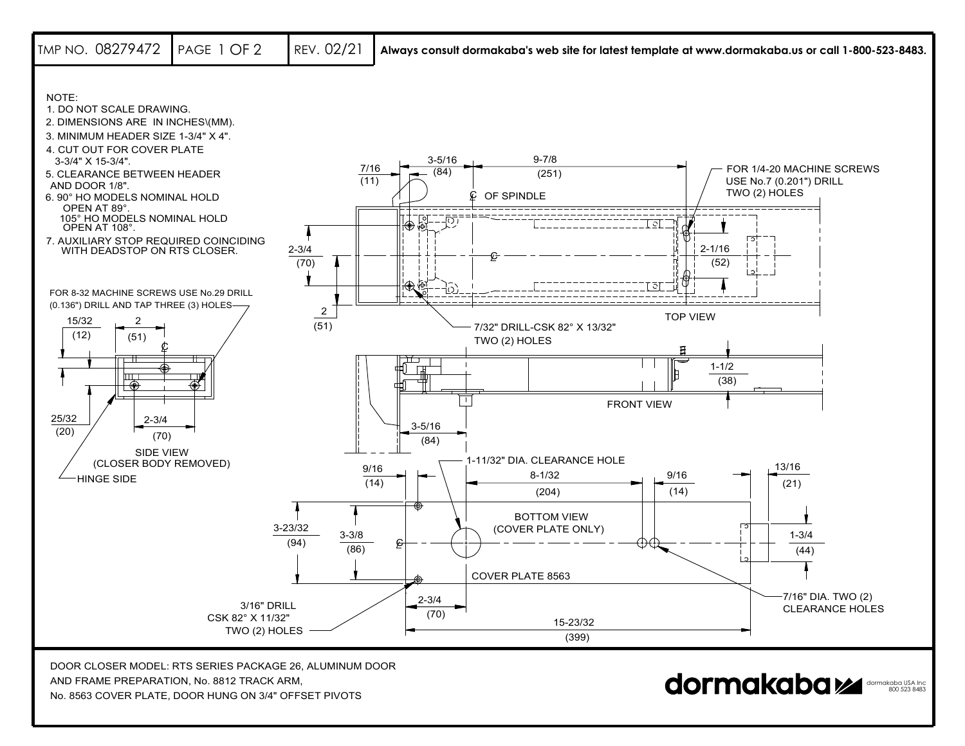

AND FRAME PREPARATION, No. 8812 TRACK ARM,

No. 8563 COVER PLATE, DOOR HUNG ON 3/4" OFFSET PIVOTS

dormakaba USA Inc 800 523 8483